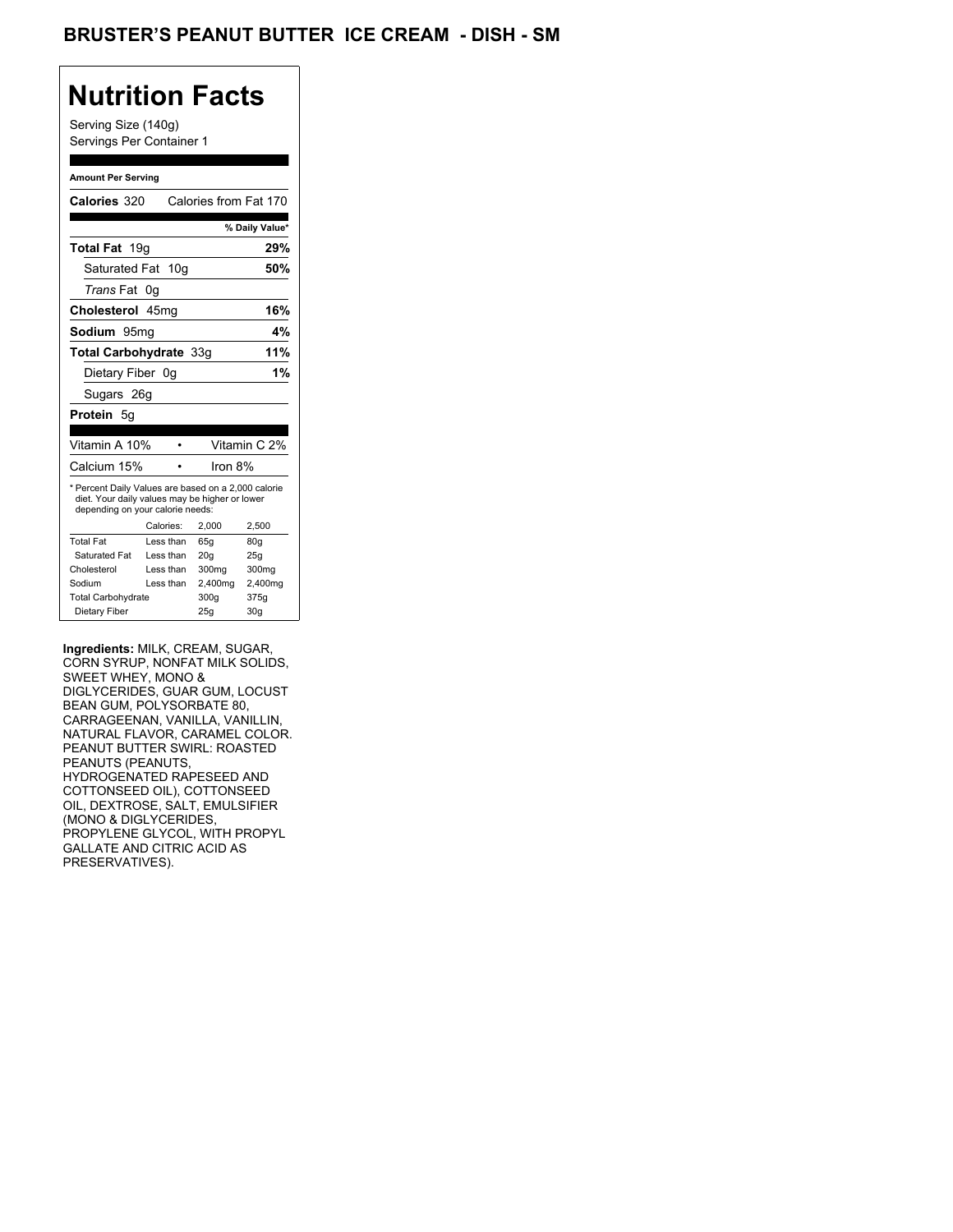## BRUSTER'S PEANUT BUTTER ICE CREAM - DISH - SM

## **Nutrition Facts**

Serving Size (140g) Servings Per Container 1

#### **Amount Per Serving**

| Calories from Fat 170<br>% Daily Value*                                                               |
|-------------------------------------------------------------------------------------------------------|
|                                                                                                       |
|                                                                                                       |
| 29%                                                                                                   |
| 50%                                                                                                   |
|                                                                                                       |
| 16%                                                                                                   |
| 4%                                                                                                    |
| 11%                                                                                                   |
| 1%                                                                                                    |
|                                                                                                       |
|                                                                                                       |
|                                                                                                       |
|                                                                                                       |
| Vitamin C 2%                                                                                          |
|                                                                                                       |
| * Percent Daily Values are based on a 2,000 calorie<br>diet. Your daily values may be higher or lower |
| 2,500                                                                                                 |
| 80q                                                                                                   |
| 25q                                                                                                   |
| 300mg                                                                                                 |
| 2,400mg                                                                                               |
| 375g                                                                                                  |
|                                                                                                       |

**Ingredients:** MILK, CREAM, SUGAR, CORN SYRUP, NONFAT MILK SOLIDS, SWEET WHEY, MONO & DIGLYCERIDES, GUAR GUM, LOCUST BEAN GUM, POLYSORBATE 80, CARRAGEENAN, VANILLA, VANILLIN, NATURAL FLAVOR, CARAMEL COLOR. PEANUT BUTTER SWIRL: ROASTED PEANUTS (PEANUTS, HYDROGENATED RAPESEED AND COTTONSEED OIL), COTTONSEED OIL, DEXTROSE, SALT, EMULSIFIER (MONO & DIGLYCERIDES, PROPYLENE GLYCOL, WITH PROPYL GALLATE AND CITRIC ACID AS PRESERVATIVES).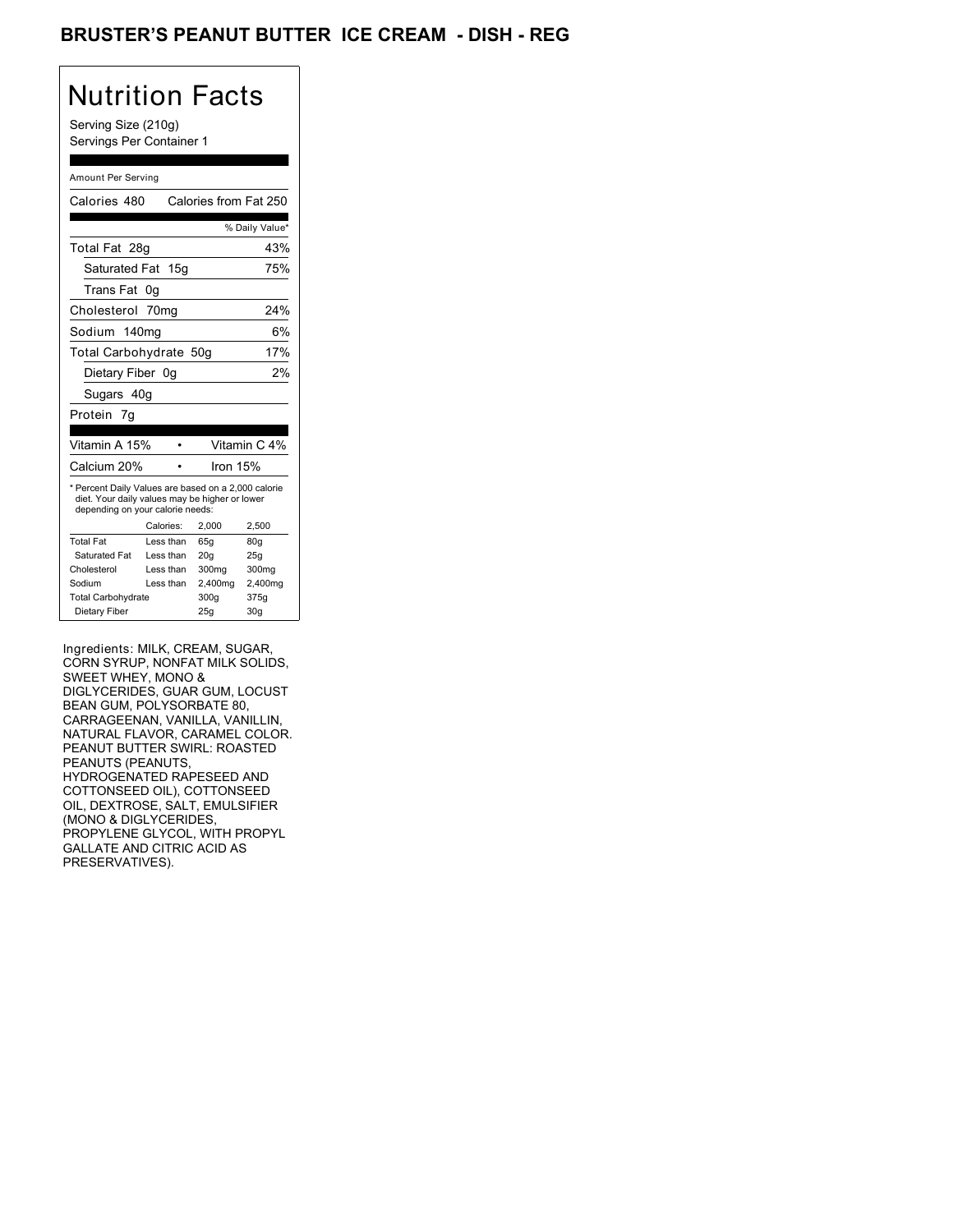## BRUSTER'S PEANUT BUTTER ICE CREAM - DISH - REG

## Nutrition Facts

Serving Size (210g) Servings Per Container 1

#### Amount Per Serving

| Calories 480                                                                                                                              |           | Calories from Fat 250 |                |
|-------------------------------------------------------------------------------------------------------------------------------------------|-----------|-----------------------|----------------|
|                                                                                                                                           |           |                       | % Daily Value* |
| Total Fat 28g                                                                                                                             |           |                       | 43%            |
| Saturated Fat 15q                                                                                                                         |           |                       | 75%            |
| Trans Fat                                                                                                                                 | 0g        |                       |                |
| Cholesterol                                                                                                                               | 70mg      |                       | 24%            |
| Sodium 140mg                                                                                                                              |           |                       | 6%             |
| Total Carbohydrate 50g                                                                                                                    |           |                       | 17%            |
| Dietary Fiber 0q                                                                                                                          |           |                       | 2%             |
| Sugars 40g                                                                                                                                |           |                       |                |
| Protein<br>7q                                                                                                                             |           |                       |                |
|                                                                                                                                           |           |                       |                |
| Vitamin A 15%                                                                                                                             |           |                       | Vitamin C 4%   |
|                                                                                                                                           |           |                       |                |
| Calcium 20%                                                                                                                               |           | Iron 15%              |                |
| * Percent Daily Values are based on a 2,000 calorie<br>diet. Your daily values may be higher or lower<br>depending on your calorie needs: |           |                       |                |
|                                                                                                                                           | Calories: | 2,000                 | 2,500          |
| <b>Total Fat</b>                                                                                                                          | Less than | 65g                   | 80g            |
| Saturated Fat                                                                                                                             | Less than | 20q                   | 25g            |
| Cholesterol                                                                                                                               | Less than | 300mg                 | 300mg          |
| Sodium                                                                                                                                    | Less than | 2,400mg               | 2,400mg        |
| <b>Total Carbohydrate</b>                                                                                                                 |           | 300g                  | 375g           |

Ingredients: MILK, CREAM, SUGAR, CORN SYRUP, NONFAT MILK SOLIDS, SWEET WHEY, MONO & DIGLYCERIDES, GUAR GUM, LOCUST BEAN GUM, POLYSORBATE 80, CARRAGEENAN, VANILLA, VANILLIN, NATURAL FLAVOR, CARAMEL COLOR. PEANUT BUTTER SWIRL: ROASTED PEANUTS (PEANUTS, HYDROGENATED RAPESEED AND COTTONSEED OIL), COTTONSEED OIL, DEXTROSE, SALT, EMULSIFIER (MONO & DIGLYCERIDES, PROPYLENE GLYCOL, WITH PROPYL GALLATE AND CITRIC ACID AS PRESERVATIVES).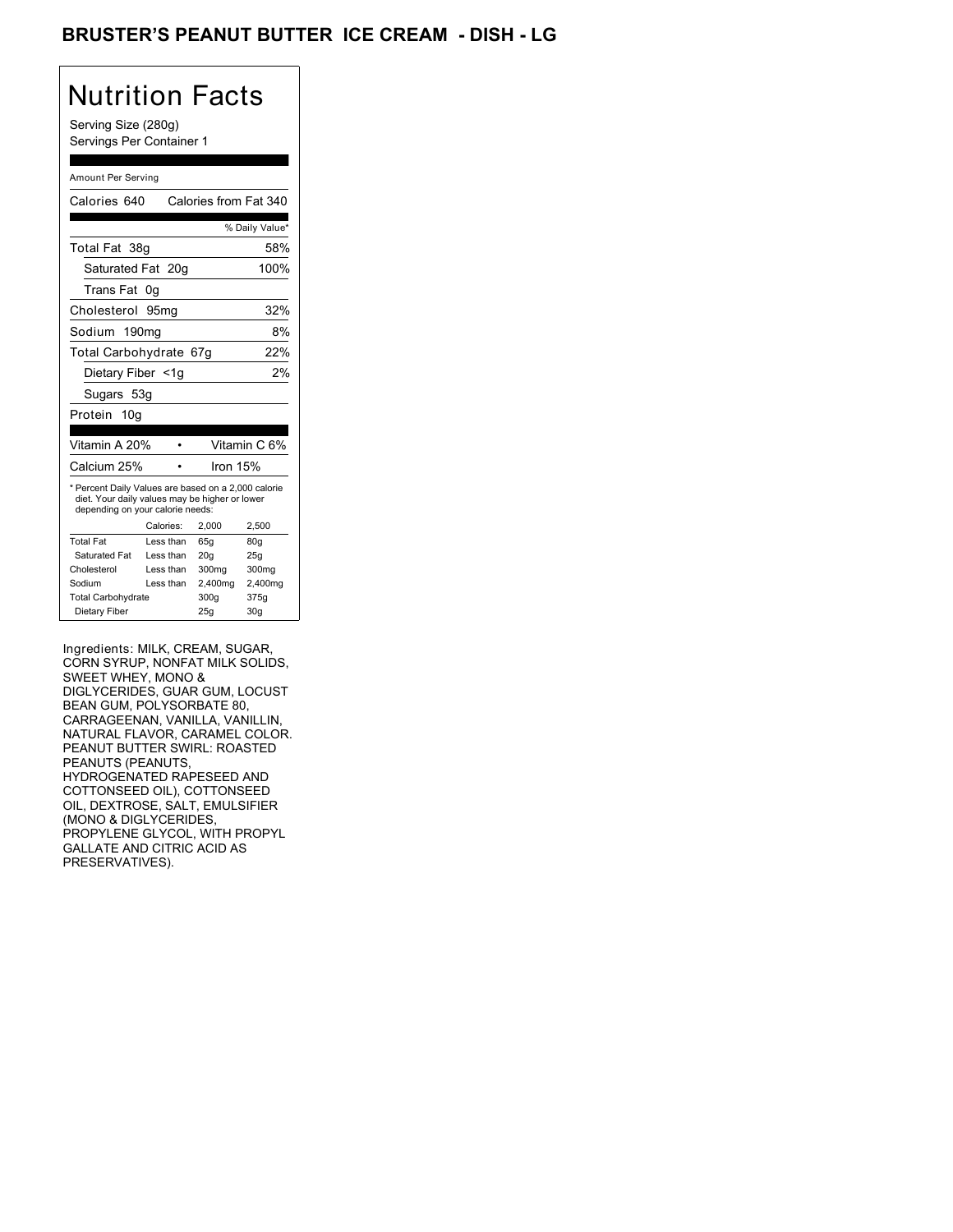## BRUSTER'S PEANUT BUTTER ICE CREAM - DISH - LG

# Nutrition Facts

Serving Size (280g) Servings Per Container 1

#### Amount Per Serving

| Calories 640                                                                                                                              |                  | Calories from Fat 340 |                 |
|-------------------------------------------------------------------------------------------------------------------------------------------|------------------|-----------------------|-----------------|
|                                                                                                                                           |                  |                       | % Daily Value*  |
| Total Fat 38g                                                                                                                             |                  |                       | 58%             |
| Saturated Fat 20q                                                                                                                         |                  |                       | 100%            |
| Trans Fat                                                                                                                                 | 0g               |                       |                 |
| Cholesterol                                                                                                                               | 95 <sub>mq</sub> |                       | 32%             |
| Sodium 190mg                                                                                                                              |                  |                       | 8%              |
| Total Carbohydrate 67g                                                                                                                    |                  |                       | 22%             |
| Dietary Fiber <1g                                                                                                                         |                  |                       | 2%              |
| Sugars 53g                                                                                                                                |                  |                       |                 |
| Protein 10g                                                                                                                               |                  |                       |                 |
|                                                                                                                                           |                  |                       |                 |
| Vitamin A 20%                                                                                                                             |                  |                       | Vitamin C 6%    |
| Calcium 25%                                                                                                                               |                  | Iron $15%$            |                 |
| * Percent Daily Values are based on a 2,000 calorie<br>diet. Your daily values may be higher or lower<br>depending on your calorie needs: |                  |                       |                 |
|                                                                                                                                           | Calories:        | 2.000                 | 2,500           |
| <b>Total Fat</b>                                                                                                                          | Less than        | 65q                   | 80 <sub>g</sub> |
| Saturated Fat                                                                                                                             | Less than        | 20 <sub>g</sub>       | 25g             |
| Cholesterol                                                                                                                               | Less than        | 300mg                 | 300mg           |
| Sodium                                                                                                                                    | Less than        | 2,400mg               | 2,400mg         |
| <b>Total Carbohydrate</b>                                                                                                                 |                  | 300g                  | 375g            |
| Dietary Fiber                                                                                                                             |                  | 25q                   | 30 <sub>g</sub> |

Ingredients: MILK, CREAM, SUGAR, CORN SYRUP, NONFAT MILK SOLIDS, SWEET WHEY, MONO & DIGLYCERIDES, GUAR GUM, LOCUST BEAN GUM, POLYSORBATE 80, CARRAGEENAN, VANILLA, VANILLIN, NATURAL FLAVOR, CARAMEL COLOR. PEANUT BUTTER SWIRL: ROASTED PEANUTS (PEANUTS, HYDROGENATED RAPESEED AND COTTONSEED OIL), COTTONSEED OIL, DEXTROSE, SALT, EMULSIFIER (MONO & DIGLYCERIDES, PROPYLENE GLYCOL, WITH PROPYL GALLATE AND CITRIC ACID AS PRESERVATIVES).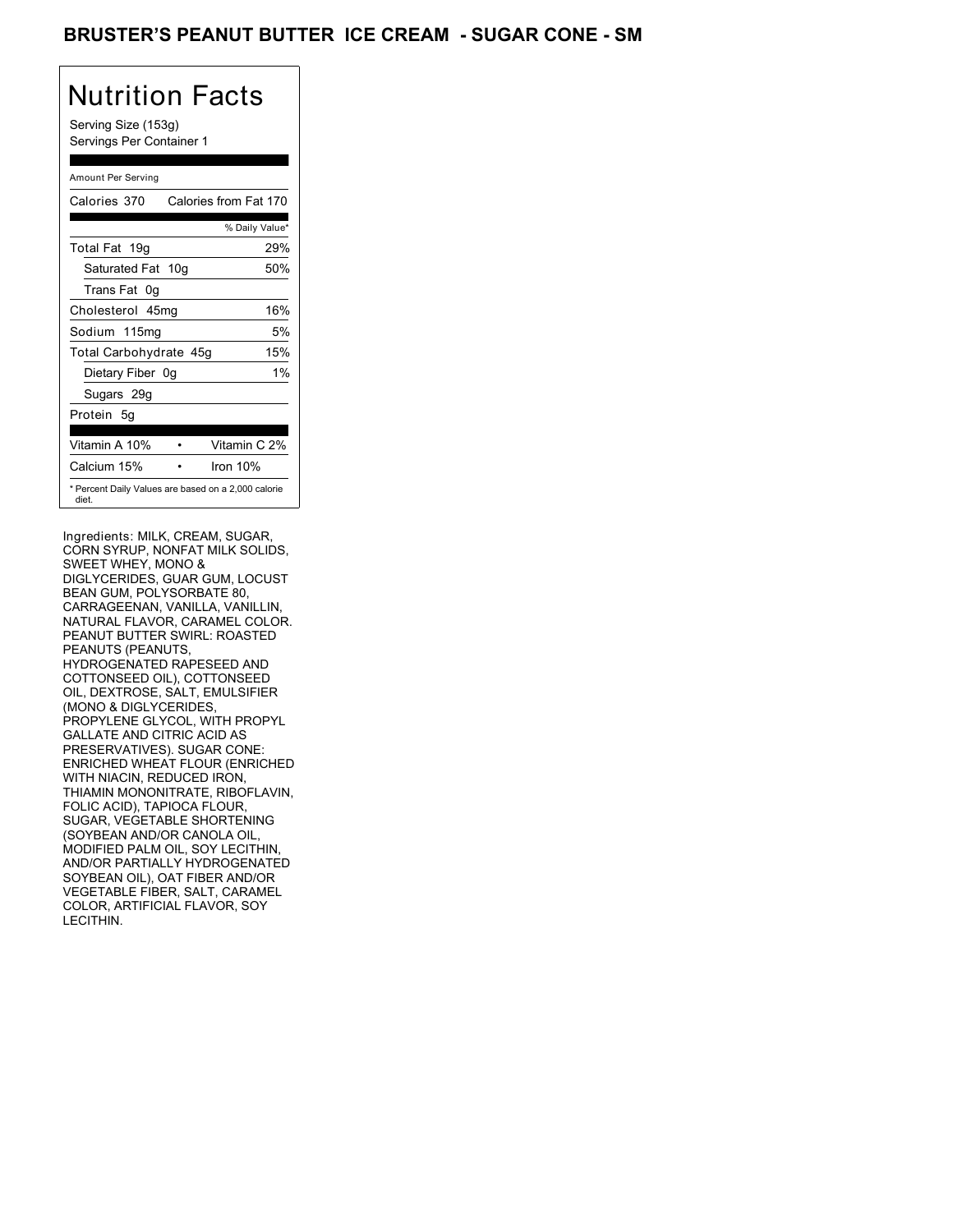## BRUSTER'S PEANUT BUTTER ICE CREAM - SUGAR CONE - SM

# Nutrition Facts

Serving Size (153g) Servings Per Container 1

### Amount Per Serving

| Calories 370           | Calories from Fat 170                               |
|------------------------|-----------------------------------------------------|
|                        | % Daily Value*                                      |
| Total Fat 19g          | 29%                                                 |
| Saturated Fat 10g      | 50%                                                 |
| Trans Fat 0q           |                                                     |
| Cholesterol 45mg       | 16%                                                 |
| Sodium 115mg           | 5%                                                  |
| Total Carbohydrate 45g | 15%                                                 |
| Dietary Fiber 0g       | $1\%$                                               |
| Sugars 29g             |                                                     |
| Protein 5q             |                                                     |
| Vitamin A 10%          | Vitamin C 2%                                        |
| Calcium 15%            | Iron 10%                                            |
| diet.                  | * Percent Daily Values are based on a 2,000 calorie |

Ingredients: MILK, CREAM, SUGAR, CORN SYRUP, NONFAT MILK SOLIDS, SWEET WHEY, MONO & DIGLYCERIDES, GUAR GUM, LOCUST BEAN GUM, POLYSORBATE 80, CARRAGEENAN, VANILLA, VANILLIN, NATURAL FLAVOR, CARAMEL COLOR. PEANUT BUTTER SWIRL: ROASTED PEANUTS (PEANUTS, HYDROGENATED RAPESEED AND COTTONSEED OIL), COTTONSEED OIL, DEXTROSE, SALT, EMULSIFIER (MONO & DIGLYCERIDES, PROPYLENE GLYCOL, WITH PROPYL GALLATE AND CITRIC ACID AS PRESERVATIVES). SUGAR CONE: ENRICHED WHEAT FLOUR (ENRICHED WITH NIACIN, REDUCED IRON, THIAMIN MONONITRATE, RIBOFLAVIN, FOLIC ACID), TAPIOCA FLOUR, SUGAR, VEGETABLE SHORTENING (SOYBEAN AND/OR CANOLA OIL, MODIFIED PALM OIL, SOY LECITHIN, AND/OR PARTIALLY HYDROGENATED SOYBEAN OIL), OAT FIBER AND/OR VEGETABLE FIBER, SALT, CARAMEL COLOR, ARTIFICIAL FLAVOR, SOY LECITHIN.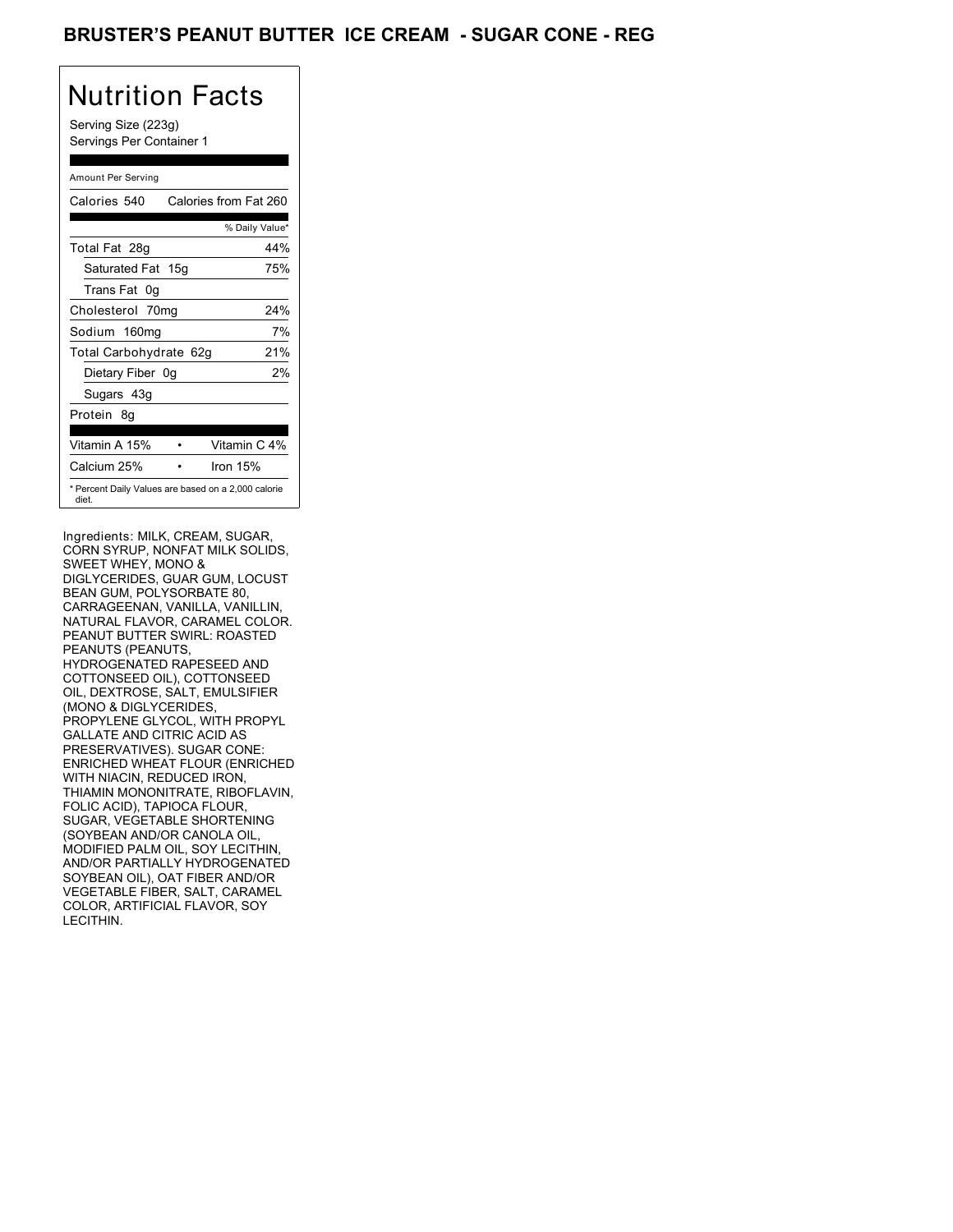## BRUSTER'S PEANUT BUTTER ICE CREAM - SUGAR CONE - REG

## Nutrition Facts

Serving Size (223g) Servings Per Container 1

### Amount Per Serving

| Calories 540                                                 | Calories from Fat 260 |
|--------------------------------------------------------------|-----------------------|
|                                                              | % Daily Value*        |
| Total Fat 28g                                                | 44%                   |
| Saturated Fat 15g                                            | 75%                   |
| Trans Fat 0q                                                 |                       |
| Cholesterol 70mg                                             | 24%                   |
| Sodium 160mg                                                 | 7%                    |
| Total Carbohydrate 62g                                       | 21%                   |
| Dietary Fiber 0g                                             | 2%                    |
| Sugars 43g                                                   |                       |
| Protein 8q                                                   |                       |
| Vitamin A 15%                                                | Vitamin C 4%          |
| Calcium 25%                                                  | Iron 15%              |
| * Percent Daily Values are based on a 2,000 calorie<br>diet. |                       |

Ingredients: MILK, CREAM, SUGAR, CORN SYRUP, NONFAT MILK SOLIDS, SWEET WHEY, MONO & DIGLYCERIDES, GUAR GUM, LOCUST BEAN GUM, POLYSORBATE 80, CARRAGEENAN, VANILLA, VANILLIN, NATURAL FLAVOR, CARAMEL COLOR. PEANUT BUTTER SWIRL: ROASTED PEANUTS (PEANUTS, HYDROGENATED RAPESEED AND COTTONSEED OIL), COTTONSEED OIL, DEXTROSE, SALT, EMULSIFIER (MONO & DIGLYCERIDES, PROPYLENE GLYCOL, WITH PROPYL GALLATE AND CITRIC ACID AS PRESERVATIVES). SUGAR CONE: ENRICHED WHEAT FLOUR (ENRICHED WITH NIACIN, REDUCED IRON, THIAMIN MONONITRATE, RIBOFLAVIN, FOLIC ACID), TAPIOCA FLOUR, SUGAR, VEGETABLE SHORTENING (SOYBEAN AND/OR CANOLA OIL, MODIFIED PALM OIL, SOY LECITHIN, AND/OR PARTIALLY HYDROGENATED SOYBEAN OIL), OAT FIBER AND/OR VEGETABLE FIBER, SALT, CARAMEL COLOR, ARTIFICIAL FLAVOR, SOY LECITHIN.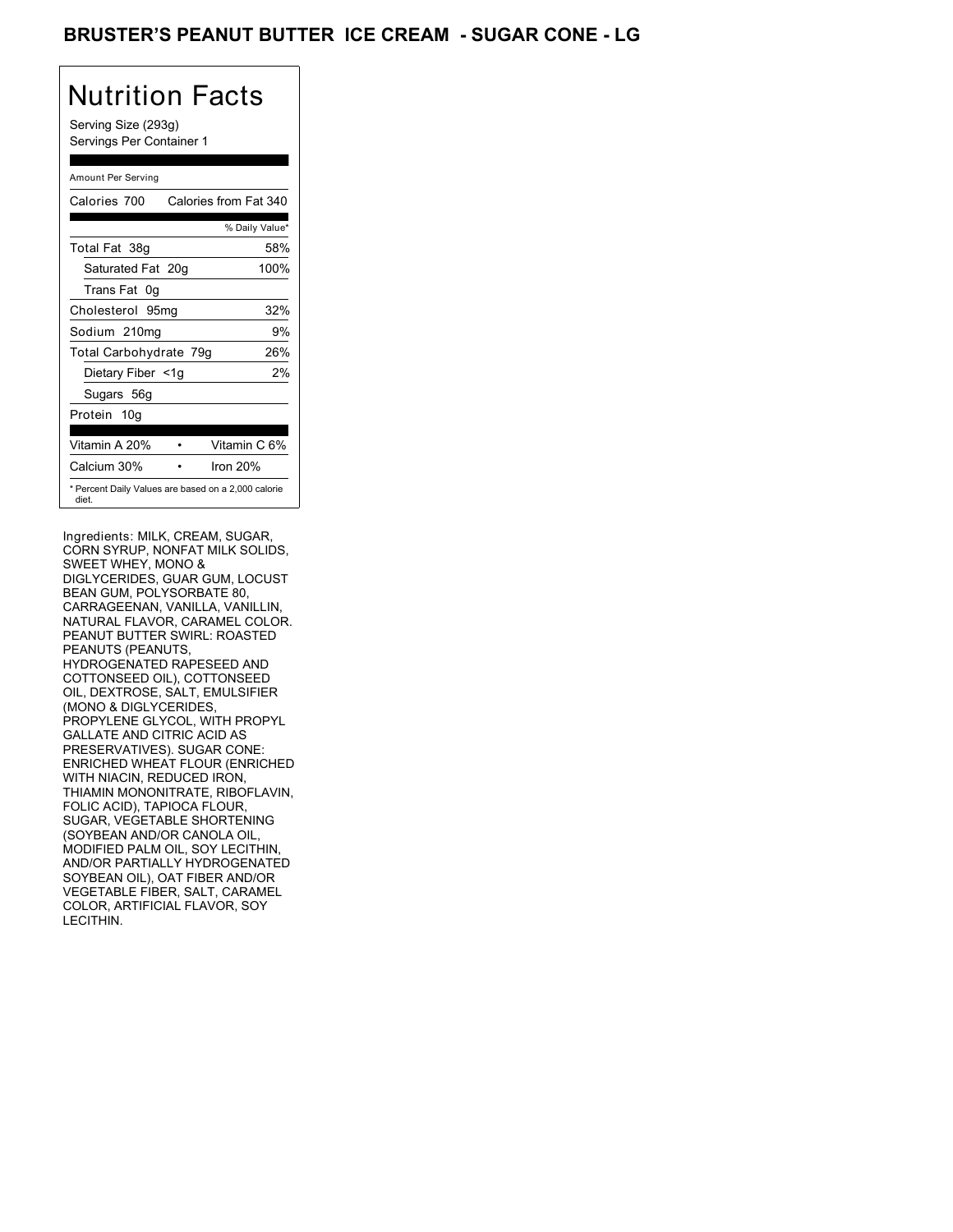## BRUSTER'S PEANUT BUTTER ICE CREAM - SUGAR CONE - LG

# Nutrition Facts

Serving Size (293g) Servings Per Container 1

### Amount Per Serving

| Calories 700           | Calories from Fat 340                               |
|------------------------|-----------------------------------------------------|
|                        | % Daily Value*                                      |
| Total Fat 38g          | 58%                                                 |
| Saturated Fat 20g      | 100%                                                |
| Trans Fat 0q           |                                                     |
| Cholesterol 95mg       | 32%                                                 |
| Sodium 210mg           | 9%                                                  |
| Total Carbohydrate 79g | 26%                                                 |
| Dietary Fiber <1g      | 2%                                                  |
| Sugars 56g             |                                                     |
| Protein 10q            |                                                     |
| Vitamin A 20%          | Vitamin C 6%                                        |
| Calcium 30%            | Iron 20%                                            |
| diet.                  | * Percent Daily Values are based on a 2,000 calorie |

Ingredients: MILK, CREAM, SUGAR, CORN SYRUP, NONFAT MILK SOLIDS, SWEET WHEY, MONO & DIGLYCERIDES, GUAR GUM, LOCUST BEAN GUM, POLYSORBATE 80, CARRAGEENAN, VANILLA, VANILLIN, NATURAL FLAVOR, CARAMEL COLOR. PEANUT BUTTER SWIRL: ROASTED PEANUTS (PEANUTS, HYDROGENATED RAPESEED AND COTTONSEED OIL), COTTONSEED OIL, DEXTROSE, SALT, EMULSIFIER (MONO & DIGLYCERIDES, PROPYLENE GLYCOL, WITH PROPYL GALLATE AND CITRIC ACID AS PRESERVATIVES). SUGAR CONE: ENRICHED WHEAT FLOUR (ENRICHED WITH NIACIN, REDUCED IRON, THIAMIN MONONITRATE, RIBOFLAVIN, FOLIC ACID), TAPIOCA FLOUR, SUGAR, VEGETABLE SHORTENING (SOYBEAN AND/OR CANOLA OIL, MODIFIED PALM OIL, SOY LECITHIN, AND/OR PARTIALLY HYDROGENATED SOYBEAN OIL), OAT FIBER AND/OR VEGETABLE FIBER, SALT, CARAMEL COLOR, ARTIFICIAL FLAVOR, SOY LECITHIN.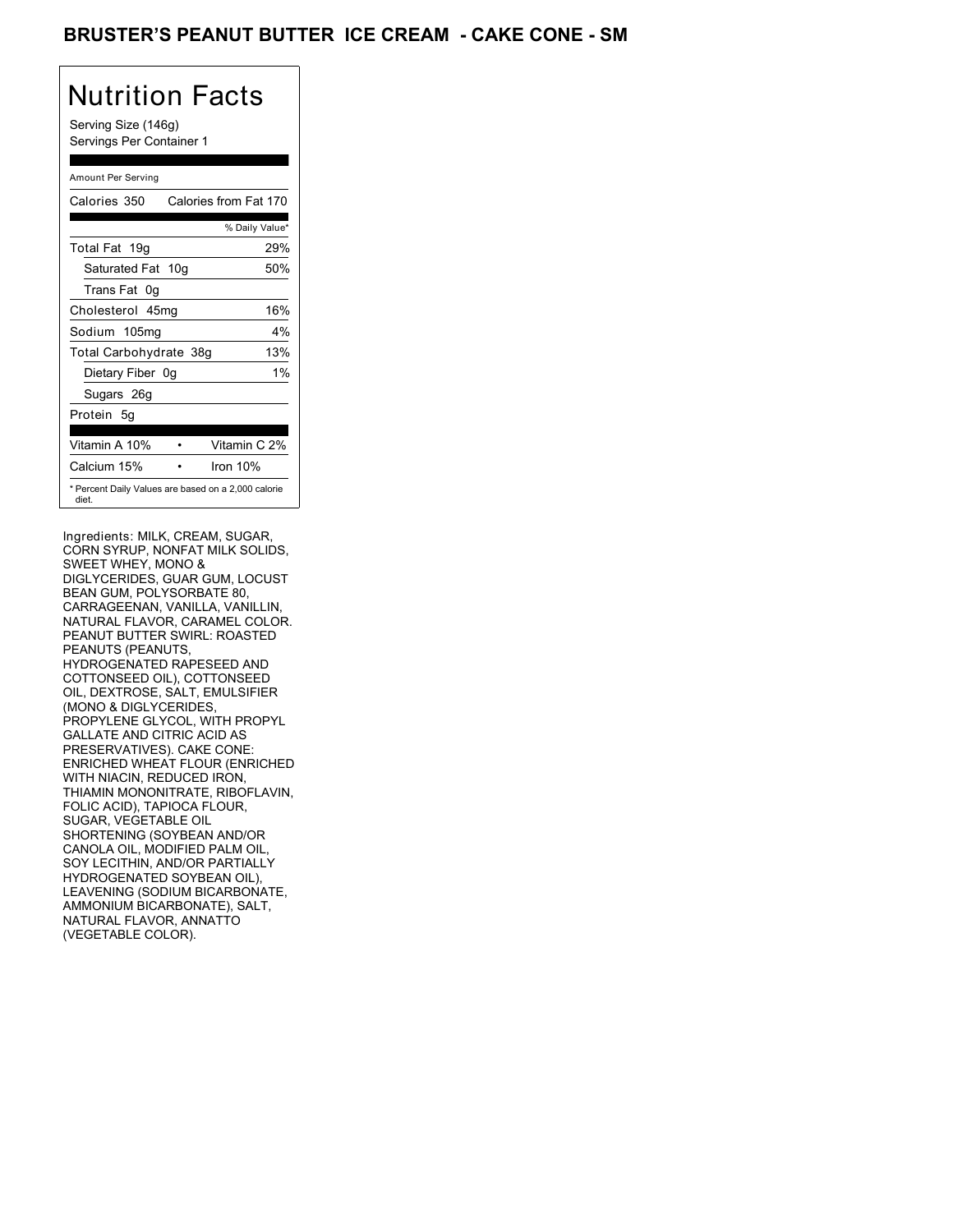## BRUSTER'S PEANUT BUTTER ICE CREAM - CAKE CONE - SM

# Nutrition Facts

Serving Size (146g) Servings Per Container 1

### Amount Per Serving

| Calories 350                                                 | Calories from Fat 170 |
|--------------------------------------------------------------|-----------------------|
|                                                              | % Daily Value*        |
| Total Fat 19g                                                | 29%                   |
| Saturated Fat 10g                                            | 50%                   |
| Trans Fat 0q                                                 |                       |
| Cholesterol 45mg                                             | 16%                   |
| Sodium 105mg                                                 | $4\%$                 |
| Total Carbohydrate 38g                                       | 13%                   |
| Dietary Fiber 0g                                             | $1\%$                 |
| Sugars 26g                                                   |                       |
| Protein 5q                                                   |                       |
| Vitamin A 10%                                                | Vitamin C 2%          |
| Calcium 15%                                                  | Iron $10%$            |
| * Percent Daily Values are based on a 2,000 calorie<br>diet. |                       |

Ingredients: MILK, CREAM, SUGAR, CORN SYRUP, NONFAT MILK SOLIDS, SWEET WHEY, MONO & DIGLYCERIDES, GUAR GUM, LOCUST BEAN GUM, POLYSORBATE 80, CARRAGEENAN, VANILLA, VANILLIN, NATURAL FLAVOR, CARAMEL COLOR. PEANUT BUTTER SWIRL: ROASTED PEANUTS (PEANUTS, HYDROGENATED RAPESEED AND COTTONSEED OIL), COTTONSEED OIL, DEXTROSE, SALT, EMULSIFIER (MONO & DIGLYCERIDES, PROPYLENE GLYCOL, WITH PROPYL GALLATE AND CITRIC ACID AS PRESERVATIVES). CAKE CONE: ENRICHED WHEAT FLOUR (ENRICHED WITH NIACIN, REDUCED IRON, THIAMIN MONONITRATE, RIBOFLAVIN, FOLIC ACID), TAPIOCA FLOUR, SUGAR, VEGETABLE OIL SHORTENING (SOYBEAN AND/OR CANOLA OIL, MODIFIED PALM OIL, SOY LECITHIN, AND/OR PARTIALLY HYDROGENATED SOYBEAN OIL), LEAVENING (SODIUM BICARBONATE, AMMONIUM BICARBONATE), SALT, NATURAL FLAVOR, ANNATTO (VEGETABLE COLOR).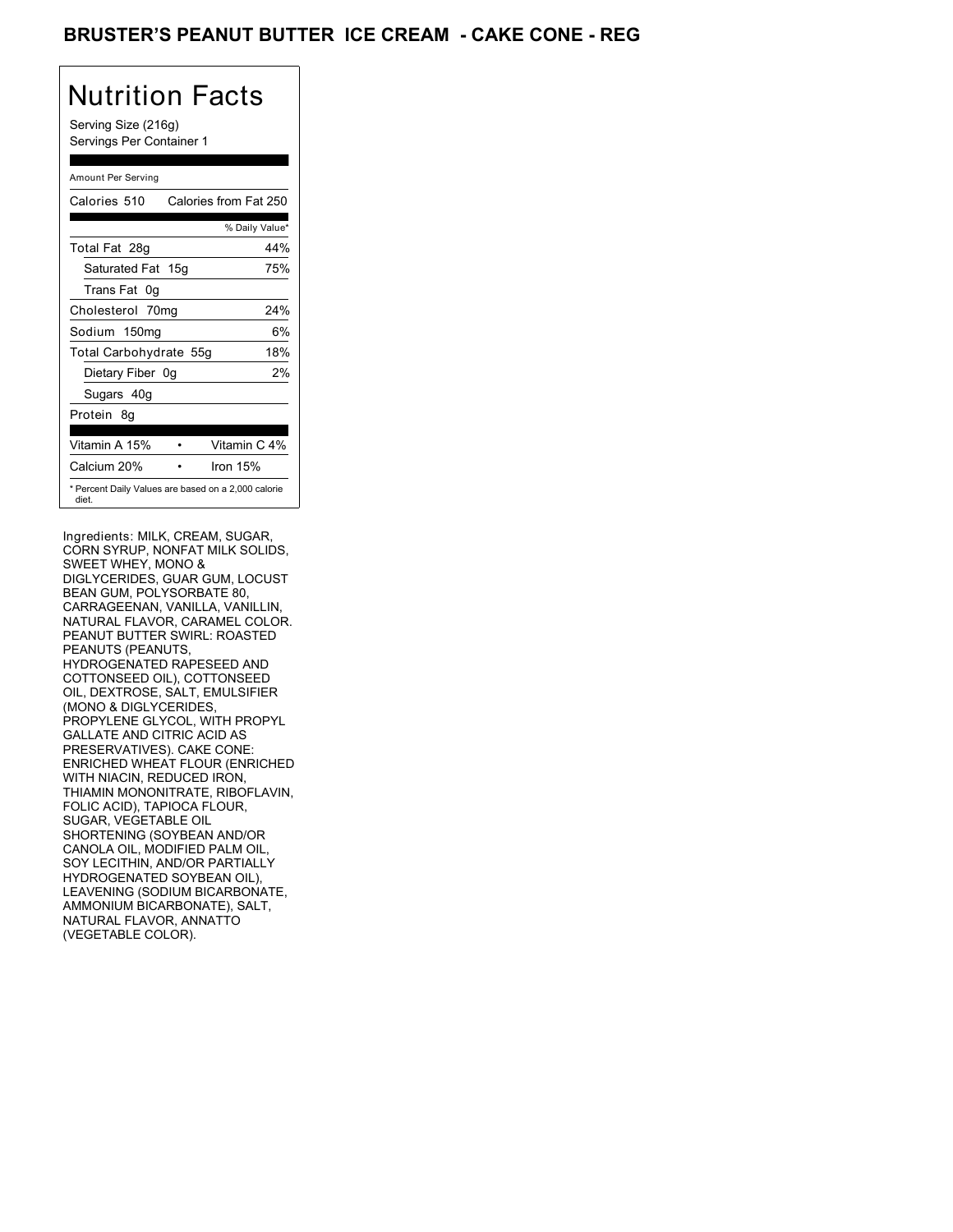## BRUSTER'S PEANUT BUTTER ICE CREAM - CAKE CONE - REG

# Nutrition Facts

Serving Size (216g) Servings Per Container 1

### Amount Per Serving

| Calories 510                                                 | Calories from Fat 250 |
|--------------------------------------------------------------|-----------------------|
|                                                              | % Daily Value*        |
| Total Fat 28g                                                | 44%                   |
| Saturated Fat 15g                                            | 75%                   |
| Trans Fat 0q                                                 |                       |
| Cholesterol 70mg                                             | 24%                   |
| Sodium 150mg                                                 | 6%                    |
| Total Carbohydrate 55g                                       | 18%                   |
| Dietary Fiber 0g                                             | 2%                    |
| Sugars 40g                                                   |                       |
| Protein 8q                                                   |                       |
| Vitamin A 15%                                                | Vitamin C 4%          |
| Calcium 20%                                                  | Iron $15%$            |
| * Percent Daily Values are based on a 2,000 calorie<br>diet. |                       |

Ingredients: MILK, CREAM, SUGAR, CORN SYRUP, NONFAT MILK SOLIDS, SWEET WHEY, MONO & DIGLYCERIDES, GUAR GUM, LOCUST BEAN GUM, POLYSORBATE 80, CARRAGEENAN, VANILLA, VANILLIN, NATURAL FLAVOR, CARAMEL COLOR. PEANUT BUTTER SWIRL: ROASTED PEANUTS (PEANUTS, HYDROGENATED RAPESEED AND COTTONSEED OIL), COTTONSEED OIL, DEXTROSE, SALT, EMULSIFIER (MONO & DIGLYCERIDES, PROPYLENE GLYCOL, WITH PROPYL GALLATE AND CITRIC ACID AS PRESERVATIVES). CAKE CONE: ENRICHED WHEAT FLOUR (ENRICHED WITH NIACIN, REDUCED IRON, THIAMIN MONONITRATE, RIBOFLAVIN, FOLIC ACID), TAPIOCA FLOUR, SUGAR, VEGETABLE OIL SHORTENING (SOYBEAN AND/OR CANOLA OIL, MODIFIED PALM OIL, SOY LECITHIN, AND/OR PARTIALLY HYDROGENATED SOYBEAN OIL), LEAVENING (SODIUM BICARBONATE, AMMONIUM BICARBONATE), SALT, NATURAL FLAVOR, ANNATTO (VEGETABLE COLOR).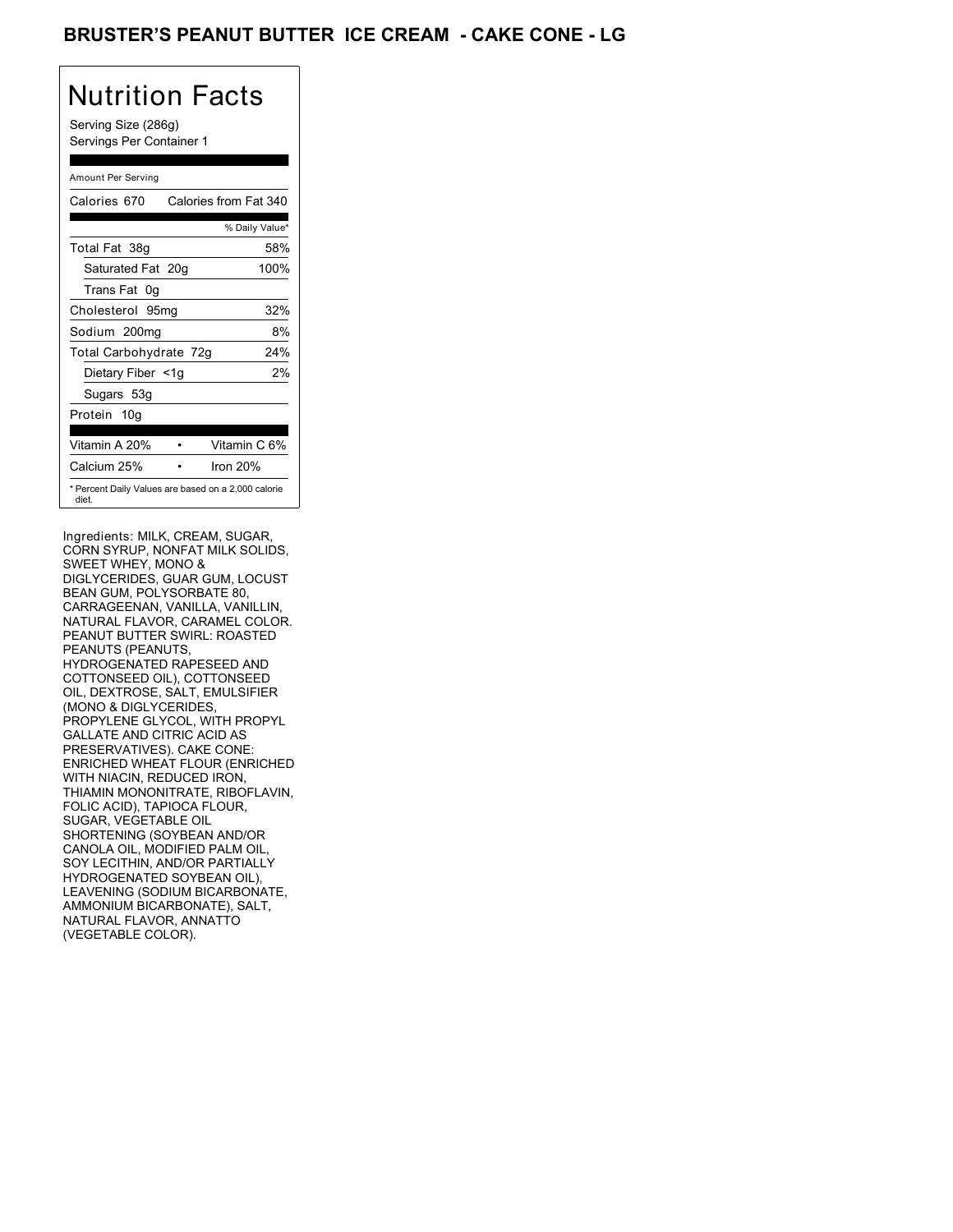## BRUSTER'S PEANUT BUTTER ICE CREAM - CAKE CONE - LG

# Nutrition Facts

Serving Size (286g) Servings Per Container 1

### Amount Per Serving

| Calories 670           | Calories from Fat 340                               |
|------------------------|-----------------------------------------------------|
|                        | % Daily Value*                                      |
| Total Fat 38g          | 58%                                                 |
| Saturated Fat 20g      | 100%                                                |
| Trans Fat 0q           |                                                     |
| Cholesterol 95mg       | 32%                                                 |
| Sodium 200mg           | 8%                                                  |
| Total Carbohydrate 72g | 24%                                                 |
| Dietary Fiber <1g      | 2%                                                  |
| Sugars 53g             |                                                     |
| Protein 10g            |                                                     |
| Vitamin A 20%          | Vitamin C 6%                                        |
| Calcium 25%            | Iron 20%                                            |
| diet.                  | * Percent Daily Values are based on a 2,000 calorie |

Ingredients: MILK, CREAM, SUGAR, CORN SYRUP, NONFAT MILK SOLIDS, SWEET WHEY, MONO & DIGLYCERIDES, GUAR GUM, LOCUST BEAN GUM, POLYSORBATE 80, CARRAGEENAN, VANILLA, VANILLIN, NATURAL FLAVOR, CARAMEL COLOR. PEANUT BUTTER SWIRL: ROASTED PEANUTS (PEANUTS, HYDROGENATED RAPESEED AND COTTONSEED OIL), COTTONSEED OIL, DEXTROSE, SALT, EMULSIFIER (MONO & DIGLYCERIDES, PROPYLENE GLYCOL, WITH PROPYL GALLATE AND CITRIC ACID AS PRESERVATIVES). CAKE CONE: ENRICHED WHEAT FLOUR (ENRICHED WITH NIACIN, REDUCED IRON, THIAMIN MONONITRATE, RIBOFLAVIN, FOLIC ACID), TAPIOCA FLOUR, SUGAR, VEGETABLE OIL SHORTENING (SOYBEAN AND/OR CANOLA OIL, MODIFIED PALM OIL, SOY LECITHIN, AND/OR PARTIALLY HYDROGENATED SOYBEAN OIL), LEAVENING (SODIUM BICARBONATE, AMMONIUM BICARBONATE), SALT, NATURAL FLAVOR, ANNATTO (VEGETABLE COLOR).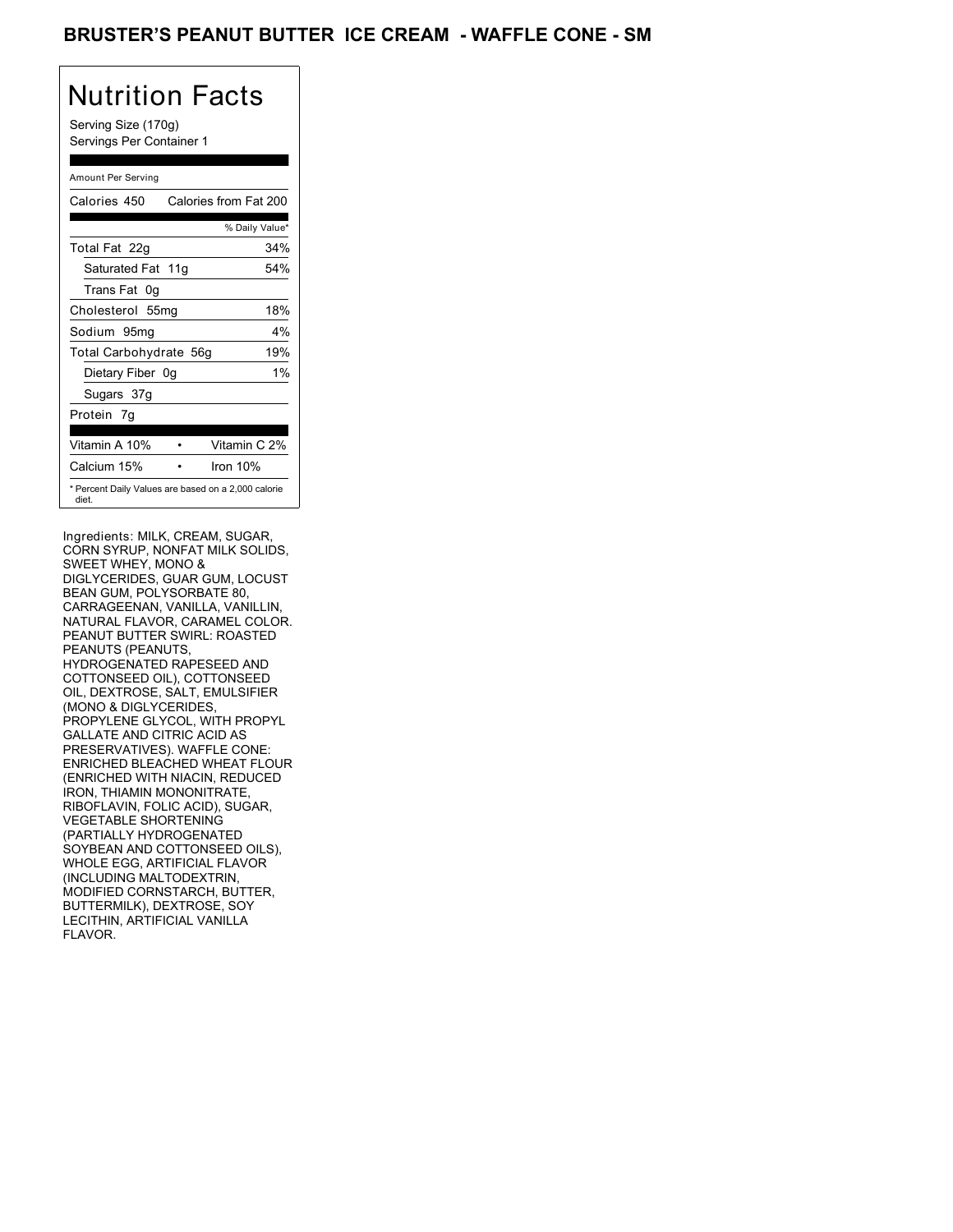## BRUSTER'S PEANUT BUTTER ICE CREAM - WAFFLE CONE - SM

# Nutrition Facts

Serving Size (170g) Servings Per Container 1

### Amount Per Serving

| Calories 450                                                 | Calories from Fat 200 |
|--------------------------------------------------------------|-----------------------|
|                                                              | % Daily Value*        |
| Total Fat 22g                                                | 34%                   |
| Saturated Fat 11g                                            | 54%                   |
| Trans Fat 0q                                                 |                       |
| Cholesterol 55mg                                             | 18%                   |
| Sodium 95mg                                                  | $4\%$                 |
| Total Carbohydrate 56g                                       | 19%                   |
| Dietary Fiber 0g                                             | $1\%$                 |
| Sugars 37g                                                   |                       |
| Protein 7q                                                   |                       |
| Vitamin A 10%                                                | Vitamin C 2%          |
| Calcium 15%                                                  | Iron $10%$            |
| * Percent Daily Values are based on a 2,000 calorie<br>diet. |                       |

Ingredients: MILK, CREAM, SUGAR, CORN SYRUP, NONFAT MILK SOLIDS, SWEET WHEY, MONO & DIGLYCERIDES, GUAR GUM, LOCUST BEAN GUM, POLYSORBATE 80, CARRAGEENAN, VANILLA, VANILLIN, NATURAL FLAVOR, CARAMEL COLOR. PEANUT BUTTER SWIRL: ROASTED PEANUTS (PEANUTS, HYDROGENATED RAPESEED AND COTTONSEED OIL), COTTONSEED OIL, DEXTROSE, SALT, EMULSIFIER (MONO & DIGLYCERIDES, PROPYLENE GLYCOL, WITH PROPYL GALLATE AND CITRIC ACID AS PRESERVATIVES). WAFFLE CONE: ENRICHED BLEACHED WHEAT FLOUR (ENRICHED WITH NIACIN, REDUCED IRON, THIAMIN MONONITRATE, RIBOFLAVIN, FOLIC ACID), SUGAR, VEGETABLE SHORTENING (PARTIALLY HYDROGENATED SOYBEAN AND COTTONSEED OILS), WHOLE EGG, ARTIFICIAL FLAVOR (INCLUDING MALTODEXTRIN, MODIFIED CORNSTARCH, BUTTER, BUTTERMILK), DEXTROSE, SOY LECITHIN, ARTIFICIAL VANILLA FLAVOR.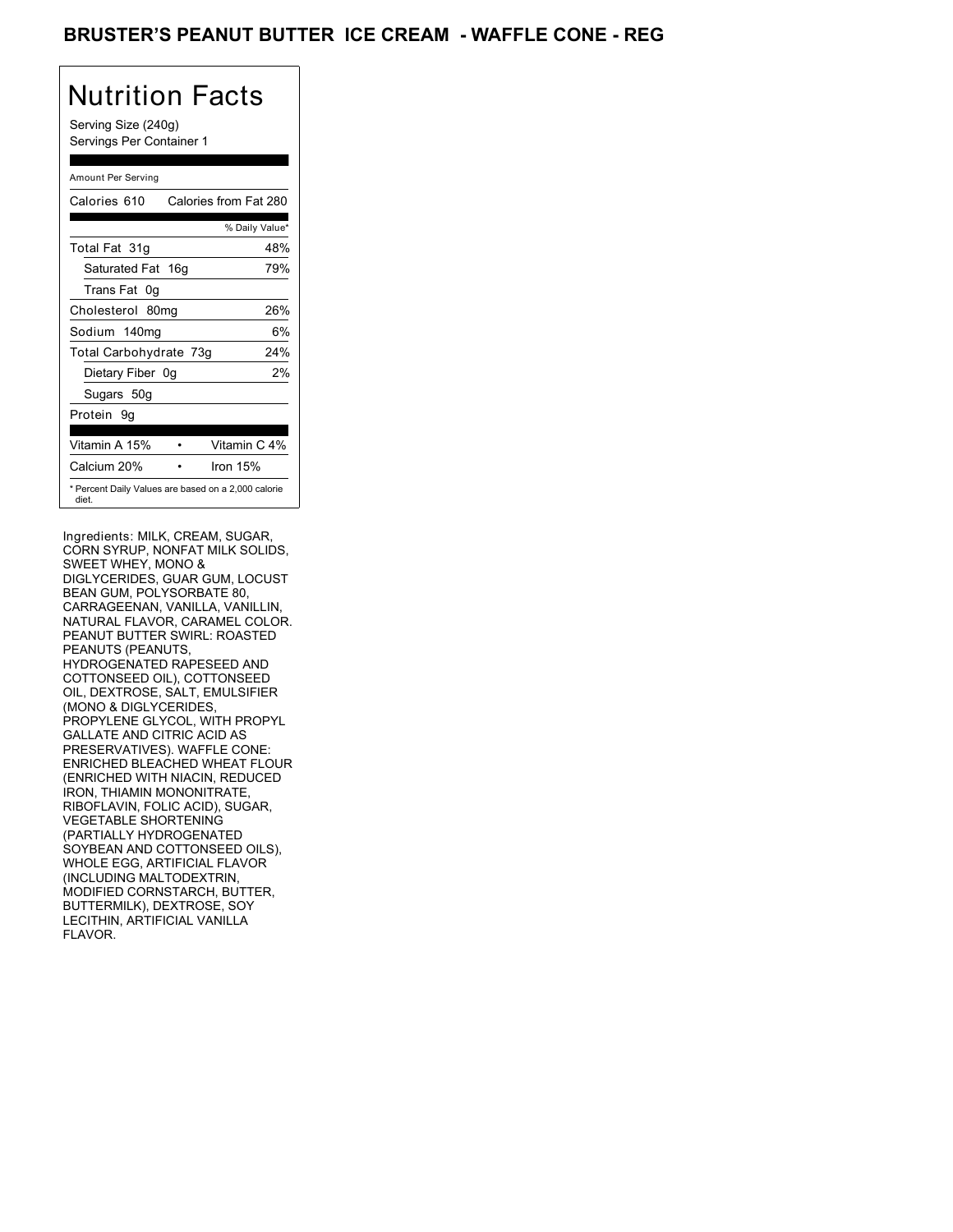## BRUSTER'S PEANUT BUTTER ICE CREAM - WAFFLE CONE - REG

# Nutrition Facts

Serving Size (240g) Servings Per Container 1

### Amount Per Serving

| Calories 610           | Calories from Fat 280                               |
|------------------------|-----------------------------------------------------|
|                        | % Daily Value*                                      |
| Total Fat 31g          | 48%                                                 |
| Saturated Fat 16g      | 79%                                                 |
| Trans Fat 0q           |                                                     |
| Cholesterol 80mg       | 26%                                                 |
| Sodium 140mg           | 6%                                                  |
| Total Carbohydrate 73g | 24%                                                 |
| Dietary Fiber 0g       | 2%                                                  |
| Sugars 50g             |                                                     |
| Protein 9q             |                                                     |
| Vitamin A 15%          | Vitamin C 4%                                        |
| Calcium 20%            | Iron 15%                                            |
| diet.                  | * Percent Daily Values are based on a 2,000 calorie |

Ingredients: MILK, CREAM, SUGAR, CORN SYRUP, NONFAT MILK SOLIDS, SWEET WHEY, MONO & DIGLYCERIDES, GUAR GUM, LOCUST BEAN GUM, POLYSORBATE 80, CARRAGEENAN, VANILLA, VANILLIN, NATURAL FLAVOR, CARAMEL COLOR. PEANUT BUTTER SWIRL: ROASTED PEANUTS (PEANUTS, HYDROGENATED RAPESEED AND COTTONSEED OIL), COTTONSEED OIL, DEXTROSE, SALT, EMULSIFIER (MONO & DIGLYCERIDES, PROPYLENE GLYCOL, WITH PROPYL GALLATE AND CITRIC ACID AS PRESERVATIVES). WAFFLE CONE: ENRICHED BLEACHED WHEAT FLOUR (ENRICHED WITH NIACIN, REDUCED IRON, THIAMIN MONONITRATE, RIBOFLAVIN, FOLIC ACID), SUGAR, VEGETABLE SHORTENING (PARTIALLY HYDROGENATED SOYBEAN AND COTTONSEED OILS), WHOLE EGG, ARTIFICIAL FLAVOR (INCLUDING MALTODEXTRIN, MODIFIED CORNSTARCH, BUTTER, BUTTERMILK), DEXTROSE, SOY LECITHIN, ARTIFICIAL VANILLA FLAVOR.